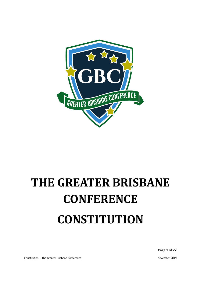

# <span id="page-0-1"></span><span id="page-0-0"></span>**THE GREATER BRISBANE CONFERENCE CONSTITUTION**

Page **1** of **22**

Constitution – The Greater Brisbane Conference. November 2019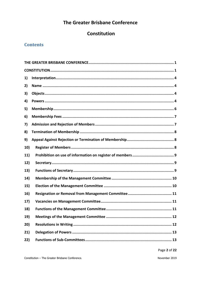# The Greater Brisbane Conference

# Constitution

# **Contents**

| 1)  |  |
|-----|--|
| 2)  |  |
| 3)  |  |
| 4)  |  |
| 5)  |  |
| 6)  |  |
| 7)  |  |
| 8)  |  |
| 9)  |  |
| 10) |  |
| 11) |  |
| 12) |  |
| 13) |  |
| 14) |  |
| 15) |  |
| 16) |  |
| 17) |  |
| 18) |  |
| 19) |  |
| 20) |  |
| 21) |  |
| 22) |  |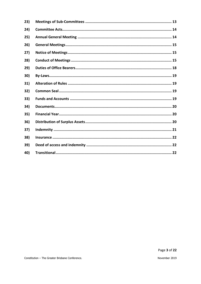| 23) |  |
|-----|--|
| 24) |  |
| 25) |  |
| 26) |  |
| 27) |  |
| 28) |  |
| 29) |  |
| 30) |  |
| 31) |  |
| 32) |  |
| 33) |  |
| 34) |  |
| 35) |  |
| 36) |  |
| 37) |  |
| 38) |  |
| 39) |  |
| 40) |  |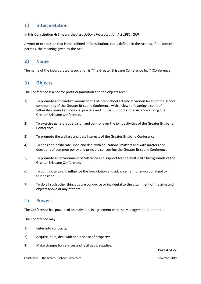# <span id="page-3-0"></span>**1) Interpretation**

In this Constitution *Act* means the *Associations Incorporation Act 1981 (Qld).*

A word or expression that is not defined in Constitution, but is defined in the Act has, if the context permits, the meaning given by the Act.

# <span id="page-3-1"></span>**2) Name**

The name of the incorporated association is "The Greater Brisbane Conference Inc." (Conference).

# <span id="page-3-2"></span>**3) Objects**

The Conference is a not for profit organisation and the objects are:

- 1) To promote and conduct various forms of inter-school activity at various levels of the school communities of the Greater Brisbane Conference with a view to fostering a spirit of fellowship, sound educational practice and mutual support and assistance among The Greater Brisbane Conference.
- 2) To exercise general supervision and control over the joint activities of the Greater Brisbane Conference.
- 3) To promote the welfare and best interests of the Greater Brisbane Conference.
- 4) To consider, deliberate upon and deal with educational matters and with matters and questions of common policy and principle concerning the Greater Brisbane Conference.
- 5) To promote an environment of tolerance and support for the multi-faith backgrounds of the Greater Brisbane Conference.
- 6) To contribute to and influence the formulation and advancement of educational policy in Queensland.
- 7) To do all such other things as are conducive or incidental to the attainment of the aims and objects above or any of them.

#### <span id="page-3-3"></span>**4) Powers**

The Conference has powers of an individual in agreement with the Management Committee.

The Conference may

- 1) Enter into contracts;
- 2) Acquire, hold, deal with and dispose of property;
- 3) Make charges for services and facilities it supplies;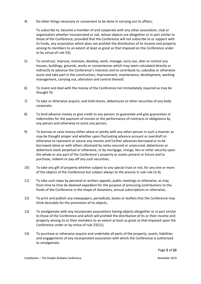4) Do other things necessary or convenient to be done in carrying out its affairs;

To subscribe to, become a member of and cooperate with any other association, club or organisation whether incorporated or not, whose objects are altogether or in part similar to those of the Conference, provided that the Conference will not subscribe to or support with its funds, any association which does not prohibit the distribution of its income and property among its members to an extent at least as great as that imposed on the Conference under or by virtue of rule [33\);](#page-18-3)

- 5) To construct, improve, maintain, develop, work, manage, carry out, alter or control any houses, buildings, grounds, works or conveniences which may seem calculated directly or indirectly to advance the Conference's interests and to contribute to, subsidise or otherwise assist and take part in the construction, improvement, maintenance, development, working management, carrying out, alteration and control thereof;
- 6) To invest and deal with the money of the Conference not immediately required as may be thought fit;
- 7) To take or otherwise acquire, and hold shares, debentures or other securities of any body corporate;
- 8) To lend advance money or give credit to any person; to guarantee and give guarantees or indemnities for the payment of monies or the performance of contracts or obligations by any person and otherwise to assist any person;
- 9) To borrow or raise money either alone or jointly with any other person in such a manner as may be thought proper and whether upon fluctuating advance account or overdraft or otherwise to represent or secure any monies and further advances borrowed or to be borrowed alone or with others aforesaid by notes secured or unsecured, debentures or debenture stock perpetual or otherwise, or by mortgage, charge, lien or other security upon the whole or any part of the Conference's property or assets present or future and to purchase, redeem or pay-off any such securities;
- 10) To take any gift of property whether subject to any special trust or not, for any one or more of the objects of the Conference but subject always to the proviso in sub-rule (3.4);
- 11) To take such steps by personal or written appeals, public meetings or otherwise, as may from time to time be deemed expedient for the purpose of procuring contributions to the funds of the Conference in the shape of donations, annual subscriptions or otherwise;
- 12) To print and publish any newspapers, periodicals, books or leaflets that the Conference may think desirable for the promotion of its objects,
- 13) To amalgamate with any incorporate associations having objects altogether or in part similar to those of the Conference and which will prohibit the distribution of its or their income and property among its or their members to an extent at least as great as that imposed upon the Conference under or by virtue of rule [33\)11\);](#page-19-3)
- 14) To purchase or otherwise acquire and undertake all parts of the property, assets, liabilities and engagements of any incorporated association with which the Conference is authorized to amalgamate.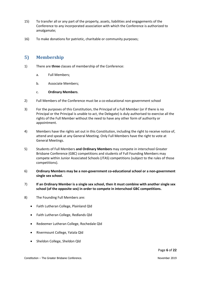- 15) To transfer all or any part of the property, assets, liabilities and engagements of the Conference to any incorporated association with which the Conference is authorized to amalgamate;
- 16) To make donations for patriotic, charitable or community purposes;

## <span id="page-5-0"></span>**5) Membership**

- 1) There are **three** classes of membership of the Conference:
	- a. Full Members;
	- b. Associate Members;

#### c. **Ordinary Members**.

- 2) Full Members of the Conference must be a co-educational non-government school
- 3) For the purposes of this Constitution, the Principal of a Full Member (or if there is no Principal or the Principal is unable to act, the Delegate) is duly authorised to exercise all the rights of the Full Member without the need to have any other form of authority or appointment.
- 4) Members have the rights set out in this Constitution, including the right to receive notice of, attend and speak at any General Meeting. Only Full Members have the right to vote at General Meetings.
- 5) Students of Full Members **and Ordinary Members** may compete in interschool Greater Brisbane Conference (GBC) competitions and students of Full Founding Members may compete within Junior Associated Schools (JTAS) competitions (subject to the rules of those competitions).
- 6) **Ordinary Members may be a non-government co-educational school or a non-government single sex school.**
- 7) **If an Ordinary Member is a single sex school, then it must combine with another single sex school (of the opposite sex) in order to compete in interschool GBC competitions.**
- 8) The Founding Full Members are:
	- Faith Lutheran College, Plainland Qld
	- Faith Lutheran College, Redlands Qld
	- Redeemer Lutheran College, Rochedale Qld
	- Rivermount College, Yatala Qld
	- Sheldon College, Sheldon Qld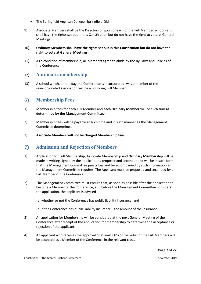- The Springfield Anglican College, Springfield Qld
- 9) Associate Members shall be the Directors of Sport of each of the Full Member Schools and shall have the rights set out in this Constitution but do not have the right to vote at General Meetings.
- 10) **Ordinary Members shall have the rights set out in this Constitution but do not have the right to vote at General Meetings.**
- 11) As a condition of membership, all Members agree to abide by the By-Laws and Policies of the Conference.

## 12) **Automatic membership**

13) A school which, on the day the Conference is incorporated, was a member of the unincorporated association will be a Founding Full Member.

#### <span id="page-6-0"></span>**6) Membership Fees**

- 1) Membership fees for each **Full** Member and **each Ordinary Member** will be such sum **as determined by the Management Committee.**
- 2) Membership fees will be payable at such time and in such manner as the Management Committee determines.
- <span id="page-6-1"></span>3) **Associate Members will not be charged Membership fees.**

#### **7) Admission and Rejection of Members**

- 1) Application for Full Membership, Associate Membership **and Ordinary Membership** will be made in writing signed by the applicant, its proposer and seconder and will be in such form that the Management Committee prescribes and be accompanied by such information as the Management Committee requires. The Applicant must be proposed and seconded by a Full Member of the Conference.
- 2) The Management Committee must ensure that, as soon as possible after the application to become a Member of the Conference, and before the Management Committee considers the application, the applicant is advised—
	- (a) whether or not the Conference has public liability insurance; and
	- (b) if the Conference has public liability insurance—the amount of the insurance.
- 3) An application for Membership will be considered at the next General Meeting of the Conference after receipt of the application for membership to determine the acceptance or rejection of the applicant.
- 4) An applicant who receives the approval of at least 80% of the votes of the Full Members will be accepted as a Member of the Conference in the relevant class.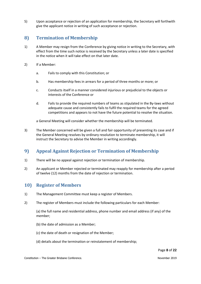5) Upon acceptance or rejection of an application for membership, the Secretary will forthwith give the applicant notice in writing of such acceptance or rejection.

# <span id="page-7-0"></span>**8) Termination of Membership**

- 1) A Member may resign from the Conference by giving notice in writing to the Secretary, with effect from the time such notice is received by the Secretary unless a later date is specified in the notice when it will take effect on that later date.
- 2) If a Member:
	- a. Fails to comply with this Constitution; or
	- b. Has membership fees in arrears for a period of three months or more; or
	- c. Conducts itself in a manner considered injurious or prejudicial to the objects or interests of the Conference or
	- d. Fails to provide the required numbers of teams as stipulated in the By-laws without adequate cause and consistently fails to fulfil the required teams for the agreed competitions and appears to not have the future potential to resolve the situation.

a General Meeting will consider whether the membership will be terminated.

3) The Member concerned will be given a full and fair opportunity of presenting its case and if the General Meeting resolves by ordinary resolution to terminate membership, it will instruct the Secretary to advise the Member in writing accordingly.

# <span id="page-7-1"></span>**9) Appeal Against Rejection or Termination of Membership**

- 1) There will be no appeal against rejection or termination of membership.
- 2) An applicant or Member rejected or terminated may reapply for membership after a period of twelve (12) months from the date of rejection or termination.

# <span id="page-7-2"></span>**10) Register of Members**

- 1) The Management Committee must keep a register of Members.
- 2) The register of Members must include the following particulars for each Member:

(a) the full name and residential address, phone number and email address (if any) of the member;

- (b) the date of admission as a Member;
- (c) the date of death or resignation of the Member;
- (d) details about the termination or reinstatement of membership;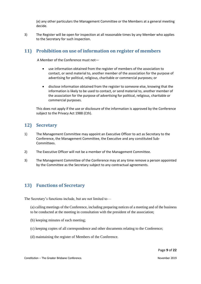(e) any other particulars the Management Committee or the Members at a general meeting decide.

3) The Register will be open for inspection at all reasonable times by any Member who applies to the Secretary for such inspection.

## <span id="page-8-0"></span>**11) Prohibition on use of information on register of members**

A Member of the Conference must not—

- use information obtained from the register of members of the association to contact, or send material to, another member of the association for the purpose of advertising for political, religious, charitable or commercial purposes; or
- disclose information obtained from the register to someone else, knowing that the information is likely to be used to contact, or send material to, another member of the association for the purpose of advertising for political, religious, charitable or commercial purposes.

This does not apply if the use or disclosure of the information is approved by the Conference subject to the Privacy Act 1988 (Cth).

## <span id="page-8-1"></span>**12) Secretary**

- 1) The Management Committee may appoint an Executive Officer to act as Secretary to the Conference, the Management Committee, the Executive and any constituted Sub-Committees.
- 2) The Executive Officer will not be a member of the Management Committee.
- 3) The Management Committee of the Conference may at any time remove a person appointed by the Committee as the Secretary subject to any contractual agreements.

# <span id="page-8-2"></span>**13) Functions of Secretary**

The Secretary's functions include, but are not limited to—

- (a) calling meetings of the Conference, including preparing notices of a meeting and of the business to be conducted at the meeting in consultation with the president of the association;
- (b) keeping minutes of each meeting;
- (c) keeping copies of all correspondence and other documents relating to the Conference;
- (d) maintaining the register of Members of the Conference.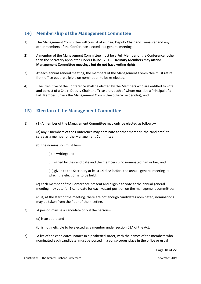# <span id="page-9-0"></span>**14) Membership of the Management Committee**

- 1) The Management Committee will consist of a Chair, Deputy Chair and Treasurer and any other members of the Conference elected at a general meeting.
- 2) A member of the Management Committee must be a Full Member of the Conference (other than the Secretary appointed under Clause 12 (1)). **Ordinary Members may attend Management Committee meetings but do not have voting rights.**
- 3) At each annual general meeting, the members of the Management Committee must retire from office but are eligible on nomination to be re-elected.
- 4) The Executive of the Conference shall be elected by the Members who are entitled to vote and consist of a Chair, Deputy Chair and Treasurer, each of whom must be a Principal of a Full Member (unless the Management Committee otherwise decides); and

# <span id="page-9-1"></span>**15) Election of the Management Committee**

1) (1) A member of the Management Committee may only be elected as follows—

(a) any 2 members of the Conference may nominate another member (the candidate) to serve as a member of the Management Committee;

- (b) the nomination must be—
	- (i) in writing; and
	- (ii) signed by the candidate and the members who nominated him or her; and

(iii) given to the Secretary at least 14 days before the annual general meeting at which the election is to be held;

(c) each member of the Conference present and eligible to vote at the annual general meeting may vote for 1 candidate for each vacant position on the management committee;

(d) if, at the start of the meeting, there are not enough candidates nominated, nominations may be taken from the floor of the meeting.

- 2) A person may be a candidate only if the person—
	- (a) is an adult; and

(b) is not ineligible to be elected as a member under section 61A of the Act.

3) A list of the candidates' names in alphabetical order, with the names of the members who nominated each candidate, must be posted in a conspicuous place in the office or usual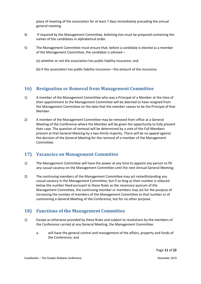place of meeting of the association for at least 7 days immediately preceding the annual general meeting.

- 4) If required by the Management Committee, balloting lists must be prepared containing the names of the candidates in alphabetical order.
- 5) The Management Committee must ensure that, before a candidate is elected as a member of the Management Committee, the candidate is advised—
	- (a) whether or not the association has public liability insurance; and
	- (b) if the association has public liability insurance—the amount of the insurance.

# <span id="page-10-0"></span>**16) Resignation or Removal from Management Committee**

- 1) A member of the Management Committee who was a Principal of a Member at the time of their appointment to the Management Committee will be deemed to have resigned from the Management Committee on the date that the member ceases to be the Principal of that Member.
- 2) A member of the Management Committee may be removed from office at a General Meeting of the Conference where the Member will be given the opportunity to fully present their case. The question of removal will be determined by a vote of the Full Members present at that General Meeting by a two-thirds majority. There will be no appeal against the decision of the General Meeting for the removal of a member of the Management Committee.

# <span id="page-10-1"></span>**17) Vacancies on Management Committee**

- 1) The Management Committee will have the power at any time to appoint any person to fill any casual vacancy on the Management Committee until the next Annual General Meeting;
- 2) The continuing members of the Management Committee may act notwithstanding any casual vacancy in the Management Committee, but if so long as their number is reduced below the number fixed pursuant to these Rules as the necessary quorum of the Management Committee, the continuing member or members may act for the purpose of increasing the number of members of the Management Committee to that number or of summoning a General Meeting of the Conference, but for no other purpose.

# <span id="page-10-2"></span>**18) Functions of the Management Committee**

- 1) Except as otherwise provided by these Rules and subject to resolutions by the members of the Conference carried at any General Meeting, the Management Committee:
	- a. will have the general control and management of the affairs, property and funds of the Conference; and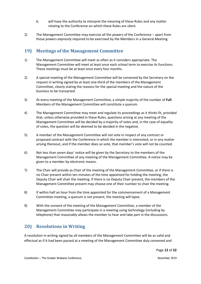- b. will have the authority to interpret the meaning of these Rules and any matter relating to the Conference on which these Rules are silent.
- 2) The Management Committee may exercise all the powers of the Conference apart from those powers expressly required to be exercised by the Members in a General Meeting.

# <span id="page-11-0"></span>**19) Meetings of the Management Committee**

- 1) The Management Committee will meet as often as it considers appropriate. The Management Committee will meet at least once each school term to exercise its functions. These meetings must be at least once every four months.
- 2) A special meeting of the Management Committee will be convened by the Secretary on the request in writing signed by at least one-third of the members of the Management Committee, clearly stating the reasons for the special meeting and the nature of the business to be transacted.
- 3) At every meeting of the Management Committee, a simple majority of the number of **Full** Members of the Management Committee will constitute a quorum.
- 4) The Management Committee may meet and regulate its proceedings as it thinks fit, provided that, unless otherwise provided in these Rules, questions arising at any meeting of the Management Committee will be decided by a majority of votes and, in the case of equality of votes, the question will be deemed to be decided in the negative.
- 5) A member of the Management Committee will not vote in respect of any contract or proposed contract with the Conference in which the member is interested, or in any matter arising thereout, and if the member does so vote, that member's vote will not be counted.
- 6) Not less than seven days' notice will be given by the Secretary to the members of the Management Committee of any meeting of the Management Committee. A notice may be given to a member by electronic means.
- 7) The Chair will preside as Chair of the meeting of the Management Committee, or if there is no Chair present within ten minutes of the time appointed for holding the meeting, the Deputy Chair will chair the meeting. If there is no Deputy Chair present, the members of the Management Committee present may choose one of their number to chair the meeting.
- 8) If within half an hour from the time appointed for the commencement of a Management Committee meeting, a quorum is not present, the meeting will lapse.
- 9) With the consent of the meeting of the Management Committee, a member of the Management Committee may participate in a meeting using technology (including by telephone) that reasonably allows the member to hear and take part in the discussions.

# <span id="page-11-1"></span>**20) Resolutions in Writing**

A resolution in writing signed by all members of the Management Committee will be as valid and effectual as if it had been passed at a meeting of the Management Committee duly convened and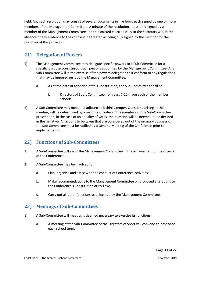held. Any such resolution may consist of several documents in like form, each signed by one or more members of the Management Committee. A minute of the resolution apparently signed by a member of the Management Committee and transmitted electronically to the Secretary will, in the absence of any evidence to the contrary, be treated as being duly signed by the member for the purposes of this provision.

# <span id="page-12-0"></span>**21) Delegation of Powers**

- 1) The Management Committee may delegate specific powers to a Sub-Committee for a specific purpose consisting of such persons appointed by the Management Committee. Any Sub-Committee will in the exercise of the powers delegated to it conform to any regulations that may be imposed on it by the Management Committee.
	- a. As at the date of adoption of this Constitution, the Sub-Committees shall be:
		- i. Directors of Sport Committee (for years 7-12) from each of the member schools;
- 2) A Sub-Committee may meet and adjourn as it thinks proper. Questions arising at the meeting will be determined by a majority of votes of the members of the Sub-Committee present and, in the case of an equality of votes, the question will be deemed to be decided in the negative. All actions to be taken that are considered out of the ordinary business of the Sub-Committee must be ratified by a General Meeting of the Conference prior to implementation.

# <span id="page-12-1"></span>**22) Functions of Sub-Committees**

- 1) A Sub-Committee will assist the Management Committee in the achievement of the objects of the Conference.
- 2) A Sub-Committee may be involved to:
	- a. Plan, organise and assist with the conduct of Conference activities;
	- b. Make recommendations to the Management Committee on proposed alterations to the Conference's Constitution or By-Laws;
	- c. Carry out all other functions as delegated by the Management Committee.

# <span id="page-12-2"></span>**23) Meetings of Sub-Committees**

- 1) A Sub-Committee will meet as is deemed necessary to exercise its functions.
	- a. A meeting of the Sub-Committee of the Directors of Sport will convene at least **once** each school term.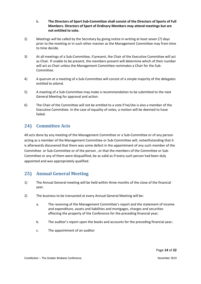- b. **The Directors of Sport Sub-Committee shall consist of the Directors of Sports of Full Members. Directors of Sport of Ordinary Members may attend meetings but are not entitled to vote.**
- 2) Meetings will be called by the Secretary by giving notice in writing at least seven (7) days prior to the meeting or in such other manner as the Management Committee may from time to time decide.
- 3) At all meetings of a Sub-Committee, if present, the Chair of the Executive Committee will act as Chair. If unable to be present, the members present will determine which of their number will act as Chair unless the Management Committee nominates a Chair for the Sub-Committee.
- 4) A quorum at a meeting of a Sub-Committee will consist of a simple majority of the delegates entitled to attend.
- 5) A meeting of a Sub-Committee may make a recommendation to be submitted to the next General Meeting for approval and action.
- 6) The Chair of the Committee will not be entitled to a vote if he/she is also a member of the Executive Committee. In the case of equality of votes, a motion will be deemed to have failed.

# <span id="page-13-0"></span>**24) Committee Acts**

All acts done by any meeting of the Management Committee or a Sub-Committee or of any person acting as a member of the Management Committee or Sub-Committee will, notwithstanding that it is afterwards discovered that there was some defect in the appointment of any such member of the Committee or Sub-Committee or of the person , or that the members of the Committee or Sub-Committee or any of them were disqualified, be as valid as if every such person had been duly appointed and was appropriately qualified .

# <span id="page-13-1"></span>**25) Annual General Meeting**

- 1) The Annual General meeting will be held within three months of the close of the financial year.
- 2) The business to be transacted at every Annual General Meeting will be:
	- a. The receiving of the Management Committee's report and the statement of income and expenditure, assets and liabilities and mortgages, charges and securities affecting the property of the Conference for the preceding financial year;
	- b. The auditor's report upon the books and accounts for the preceding financial year;
	- c. The appointment of an auditor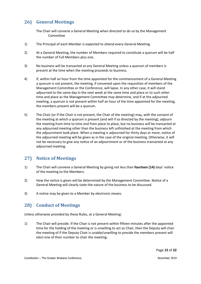# <span id="page-14-0"></span>**26) General Meetings**

The Chair will convene a General Meeting when directed to do so by the Management Committee

- 1) The Principal of each Member is expected to attend every General Meeting.
- 2) At a General Meeting, the number of Members required to constitute a quorum will be half the number of Full Members plus one.
- 3) No business will be transacted at any General Meeting unless a quorum of members is present at the time when the meeting proceeds to business.
- 4) If, within half an hour from the time appointed for the commencement of a General Meeting a quorum is not present, the meeting, if convened upon the requisition of members of the Management Committee or the Conference, will lapse. In any other case, it will stand adjourned to the same day in the next week at the same time and place or to such other time and place as the Management Committee may determine, and if at the adjourned meeting, a quorum is not present within half an hour of the time appointed for the meeting, the members present will be a quorum.
- 5) The Chair (or if the Chair is not present, the Chair of the meeting) may, with the consent of the meeting at which a quorum is present (and will if so directed by the meeting), adjourn the meeting from time to time and from place to place, but no business will be transacted at any adjourned meeting other than the business left unfinished at the meeting from which the adjournment took place. When a meeting is adjourned for thirty days or more, notice of the adjourned meeting will be given as in the case of the original meeting. Otherwise, it will not be necessary to give any notice of an adjournment or of the business transacted at any adjourned meeting.

# <span id="page-14-1"></span>**27) Notice of Meetings**

- 1) The Chair will convene a General Meeting by giving not less than **fourteen (14)** days' notice of the meeting to the Members.
- 2) How the notice is given will be determined by the Management Committee. Notice of a General Meeting will clearly state the nature of the business to be discussed.
- <span id="page-14-2"></span>3) A notice may be given to a Member by electronic means.

# **28) Conduct of Meetings**

Unless otherwise provided by these Rules, at a General Meeting:

1) The Chair will preside. If the Chair is not present within fifteen minutes after the appointed time for the holding of the meeting or is unwilling to act as Chair, then the Deputy will chair the meeting of if the Deputy Chair is unable/unwilling to preside the members present will elect one of their number to chair the meeting;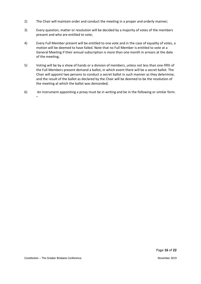- 2) The Chair will maintain order and conduct the meeting in a proper and orderly manner;
- 3) Every question, matter or resolution will be decided by a majority of votes of the members present and who are entitled to vote;
- 4) Every Full Member present will be entitled to one vote and in the case of equality of votes, a motion will be deemed to have failed. Note that no Full Member is entitled to vote at a General Meeting if their annual subscription is more than one month in arrears at the date of the meeting;
- 5) Voting will be by a show of hands or a division of members, unless not less than one-fifth of the Full Members present demand a ballot, in which event there will be a secret ballot. The Chair will appoint two persons to conduct a secret ballot in such manner as they determine, and the result of the ballot as declared by the Chair will be deemed to be the resolution of the meeting at which the ballot was demanded;
- 6) An instrument appointing a proxy must be in writing and be in the following or similar form. –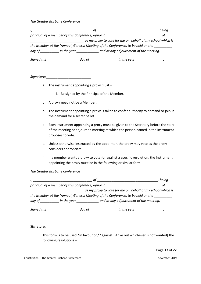*The Greater Brisbane Conference*

|                                                   | оt                                                                                                                                              | beina |
|---------------------------------------------------|-------------------------------------------------------------------------------------------------------------------------------------------------|-------|
| principal of a member of this Conference, appoint |                                                                                                                                                 | οt    |
|                                                   | as my proxy to vote for me on behalf of my school which is                                                                                      |       |
|                                                   | the Member at the (Annual) General Meeting of the Conference, to be held on the                                                                 |       |
|                                                   |                                                                                                                                                 |       |
|                                                   | in the year ________________.<br>day of the contract of the contract of the contract of the contract of the contract of the contract of the con |       |
|                                                   |                                                                                                                                                 |       |

*Signature: \_\_\_\_\_\_\_\_\_\_\_\_\_\_\_\_\_\_\_\_\_\_\_\_*

- a. The instrument appointing a proxy must
	- i. Be signed by the Principal of the Member.
- b. A proxy need not be a Member.
- c. The instrument appointing a proxy is taken to confer authority to demand or join in the demand for a secret ballot.
- d. Each instrument appointing a proxy must be given to the Secretary before the start of the meeting or adjourned meeting at which the person named in the instrument proposes to vote.
- e. Unless otherwise instructed by the appointer, the proxy may vote as the proxy considers appropriate.
- f. If a member wants a proxy to vote for against a specific resolution, the instrument appointing the proxy must be in the following or similar form –

#### *The Greater Brisbane Conference*

|                         |        |                                                                                 | being                                                                                                          |
|-------------------------|--------|---------------------------------------------------------------------------------|----------------------------------------------------------------------------------------------------------------|
|                         |        | principal of a member of this Conference, appoint                               | 0t                                                                                                             |
|                         |        |                                                                                 | as my proxy to vote for me on behalf of my school which is                                                     |
|                         |        | the Member at the (Annual) General Meeting of the Conference, to be held on the |                                                                                                                |
|                         |        |                                                                                 |                                                                                                                |
| Signed this Signed this | dav of |                                                                                 | in the year wines are all the set of the set of the set of the set of the set of the set of the set of the set |

Signature: \_\_\_\_\_\_\_\_\_\_\_\_\_\_\_\_\_\_\_\_\_\_\_\_

This form is to be used \*in favour of / \*against [Strike out whichever is not wanted] the following resolutions –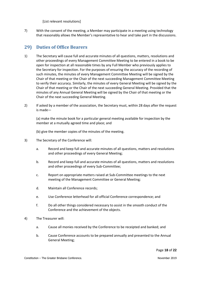[List relevant resolutions]

7) With the consent of the meeting, a Member may participate in a meeting using technology that reasonably allows the Member's representative to hear and take part in the discussions.

## <span id="page-17-0"></span>**29) Duties of Office Bearers**

- 1) The Secretary will cause full and accurate minutes of all questions, matters, resolutions and other proceedings of every Management Committee Meeting to be entered in a book to be open for inspection at all reasonable times by any Full Member who previously applies to the Secretary for inspection. For the purposes of ensuring the accuracy of the recording of such minutes, the minutes of every Management Committee Meeting will be signed by the Chair of that meeting or the Chair of the next succeeding Management Committee Meeting to verify their accuracy. Similarly, the minutes of every General Meeting will be signed by the Chair of that meeting or the Chair of the next succeeding General Meeting. Provided that the minutes of any Annual General Meeting will be signed by the Chair of that meeting or the Chair of the next succeeding General Meeting.
- 2) If asked by a member of the association, the Secretary must, within 28 days after the request is made—

(a) make the minute book for a particular general meeting available for inspection by the member at a mutually agreed time and place; and

(b) give the member copies of the minutes of the meeting.

- 3) The Secretary of the Conference will:
	- a. Record and keep full and accurate minutes of all questions, matters and resolutions and other proceedings of every General Meeting;
	- b. Record and keep full and accurate minutes of all questions, matters and resolutions and other proceedings of every Sub-Committee;
	- c. Report on appropriate matters raised at Sub-Committee meetings to the next meeting of the Management Committee or General Meeting*;*
	- d. Maintain all Conference records;
	- e. Use Conference letterhead for all official Conference correspondence; and
	- f. Do all other things considered necessary to assist in the smooth conduct of the Conference and the achievement of the objects.
- 4) The Treasurer will:
	- a. Cause all monies received by the Conference to be receipted and banked; and
	- b. Cause Conference accounts to be prepared annually and presented to the Annual General Meeting;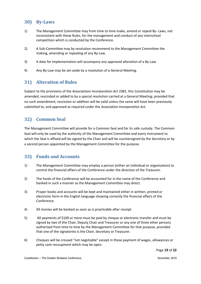# <span id="page-18-0"></span>**30) By-Laws**

- 1) The Management Committee may from time to time make, amend or repeal By- Laws, not inconsistent with these Rules, for the management and conduct of any interschool competition which is conducted by the Conference.
- 2) A Sub-Committee may by resolution recommend to the Management Committee the making, amending or repealing of any By-Law.
- 3) A date for implementation will accompany any approved alteration of a By-Law.
- <span id="page-18-1"></span>4) Any By-Law may be set-aside by a resolution of a General Meeting.

# **31) Alteration of Rules**

Subject to the provisions of the *Associations Incorporation Act 1981*, this Constitution may be amended, rescinded or added to by a special resolution carried at a General Meeting; provided that no such amendment, rescission or addition will be valid unless the same will have been previously submitted to, and approved as required under the *Association Incorporation Act*.

# <span id="page-18-2"></span>**32) Common Seal**

The Management Committee will provide for a Common Seal and for its safe custody. The Common Seal will only be used by the authority of the Management Committee and every instrument to which the Seal is affixed will be signed by the Chair and will be countersigned by the Secretary or by a second person appointed by the Management Committee for the purpose.

# <span id="page-18-3"></span>**33) Funds and Accounts**

- 1) The Management Committee may employ a person (either an individual or organisation) to control the financial affairs of the Conference under the direction of the Treasurer.
- 2) The funds of the Conference will be accounted for in the name of the Conference and banked in such a manner as the Management Committee may direct.
- 3) Proper books and accounts will be kept and maintained either in written, printed or electronic form in the English language showing correctly the financial affairs of the Conference.
- 4) All monies will be banked as soon as is practicable after receipt.
- 5) All payments of \$100 or more must be paid by cheque or electronic transfer and must be signed by two of the Chair, Deputy Chair and Treasurer or any one of three other persons authorised from time to time by the Management Committee for that purpose, provided that one of the signatories is the Chair, Secretary or Treasurer.
- 6) Cheques will be crossed "not negotiable" except in those payment of wages, allowances or petty cash recoupment which may be open.

Page **19** of **22**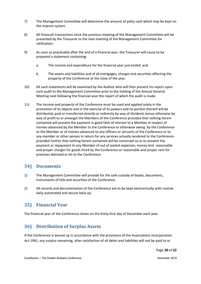- 7) The Management Committee will determine the amount of petty cash which may be kept on the imprest system.
- 8) All financial transactions since the previous meeting of the Management Committee will be presented by the Treasurer to the next meeting of the Management Committee for ratification.
- 9) As soon as practicable after the end of a financial year, the Treasurer will cause to be prepared a statement containing:
	- a. The income and expenditure for the financial year just ended; and
	- b. The assets and liabilities and of all mortgages, charges and securities affecting the property of the Conference at the close of the year.
- 10) All such statements will be examined by the Auditor who will then present his report upon such audit to the Management Committee prior to the holding of the Annual General Meeting next following the financial year the report of which the audit is made.
- <span id="page-19-3"></span>11) The income and property of the Conference must be used and applied solely in the promotion of its objects and in the exercise of its powers and no portion thereof will be distributed, paid or transferred directly or indirectly by way of dividend, bonus otherwise by way of profit to or amongst the Members of the Conference provided that nothing herein contained will prevent the payment in good faith of interest to a Member in respect of monies advanced by the Member to the Conference or otherwise owing by the Conference to the Member or of monies advanced to any officers or servants of the Conference or to any member or other person in return for any services actually rendered to the Conference provided further that nothing herein contained will be construed so as to prevent the payment or repayment to any Member of out of pocket expenses, money lent, reasonable and proper charges for goods hired by the Conference or reasonable and proper rent for premises demised or let to the Conference.

#### <span id="page-19-0"></span>**34) Documents**

- 1) The Management Committee will provide for the safe custody of books, documents, instruments of title and securities of the Conference.
- 2) All records and documentation of the Conference are to be kept electronically with routine daily automated and secure back up.

# <span id="page-19-1"></span>**35) Financial Year**

The financial year of the Conference closes on the thirty-first day of December each year.

# <span id="page-19-2"></span>**36) Distribution of Surplus Assets**

If the Conference is wound up in accordance with the provisions of the Associations Incorporation Act 1981, any surplus remaining, after satisfaction of all debts and liabilities will not be paid to or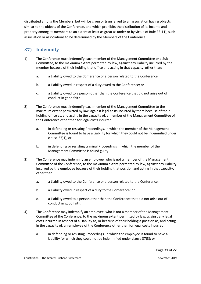distributed among the Members, but will be given or transferred to an association having objects similar to the objects of the Conference, and which prohibits the distribution of its income and property among its members to an extent at least as great as under or by virtue of Rule [33\)11\),](#page-19-3) such association or associations to be determined by the Members of the Conference.

# <span id="page-20-0"></span>**37) Indemnity**

- <span id="page-20-1"></span>1) The Conference must indemnify each member of the Management Committee or a Sub-Committee, to the maximum extent permitted by law, against any Liability incurred by the member because of their holding that office and acting in that capacity, other than:
	- a. a Liability owed to the Conference or a person related to the Conference;
	- b. a Liability owed in respect of a duty owed to the Conference; or
	- c. a Liability owed to a person other than the Conference that did not arise out of conduct in good faith.
- 2) The Conference must indemnify each member of the Management Committee to the maximum extent permitted by law, against legal costs incurred by them because of their holding office as, and acting in the capacity of, a member of the Management Committee of the Conference other than for legal costs incurred:
	- a. in defending or resisting Proceedings, in which the member of the Management Committee is found to have a Liability for which they could not be indemnified under clause [37\)](#page-20-0)[1\);](#page-20-1) or
	- b. in defending or resisting criminal Proceedings in which the member of the Management Committee is found guilty.
- <span id="page-20-2"></span>3) The Conference may indemnify an employee, who is not a member of the Management Committee of the Conference, to the maximum extent permitted by law, against any Liability incurred by the employee because of their holding that position and acting in that capacity, other than:
	- a. a Liability owed to the Conference or a person related to the Conference;
	- b. a Liability owed in respect of a duty to the Conference; or
	- c. a Liability owed to a person other than the Conference that did not arise out of conduct in good faith.
- 4) The Conference may indemnify an employee, who is not a member of the Management Committee of the Conference, to the maximum extent permitted by law, against any legal costs incurred in respect of a Liability as, or because of their holding a position as, and acting in the capacity of, an employee of the Conference other than for legal costs incurred:
	- a. in defending or resisting Proceedings, in which the employee is found to have a Liability for which they could not be indemnified under clause [37\)](#page-20-0)[3\);](#page-20-2) or